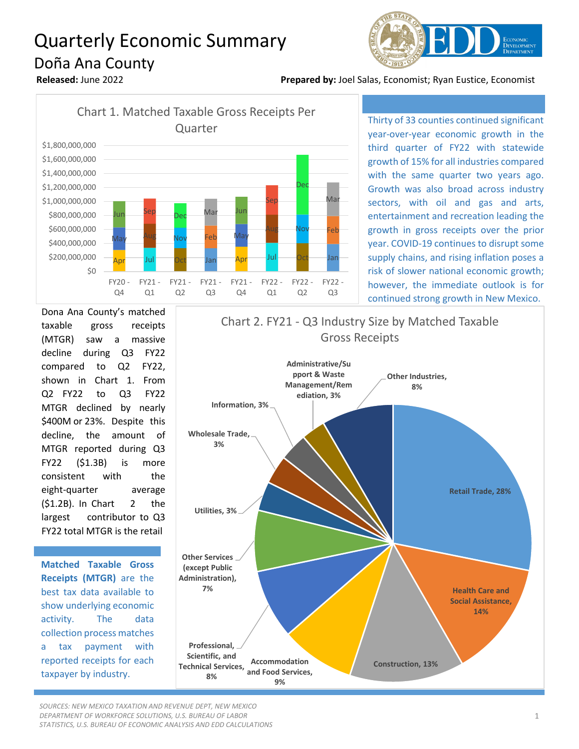## Quarterly Economic Summary Doña Ana County



**Released:** June 2022 **Prepared by:** Joel Salas, Economist; Ryan Eustice, Economist



Thirty of 33 counties continued significant year-over-year economic growth in the third quarter of FY22 with statewide growth of 15% for all industries compared with the same quarter two years ago. Growth was also broad across industry sectors, with oil and gas and arts, entertainment and recreation leading the growth in gross receipts over the prior year. COVID-19 continues to disrupt some supply chains, and rising inflation poses a risk of slower national economic growth; however, the immediate outlook is for continued strong growth in New Mexico.

Dona Ana County's matched taxable gross receipts (MTGR) saw a massive decline during Q3 FY22 compared to Q2 FY22, shown in Chart 1. From Q2 FY22 to Q3 FY22 MTGR declined by nearly \$400M or 23%. Despite this decline, the amount of MTGR reported during Q3 FY22 (\$1.3B) is more consistent with the eight-quarter average (\$1.2B). In Chart 2 the largest contributor to Q3 FY22 total MTGR is the retail

**Matched Taxable Gross Receipts (MTGR)** are the best tax data available to show underlying economic activity. The data collection process matches a tax payment with reported receipts for each taxpayer by industry.



*SOURCES: NEW MEXICO TAXATION AND REVENUE DEPT, NEW MEXICO DEPARTMENT OF WORKFORCE SOLUTIONS, U.S. BUREAU OF LABOR STATISTICS, U.S. BUREAU OF ECONOMIC ANALYSIS AND EDD CALCULATIONS*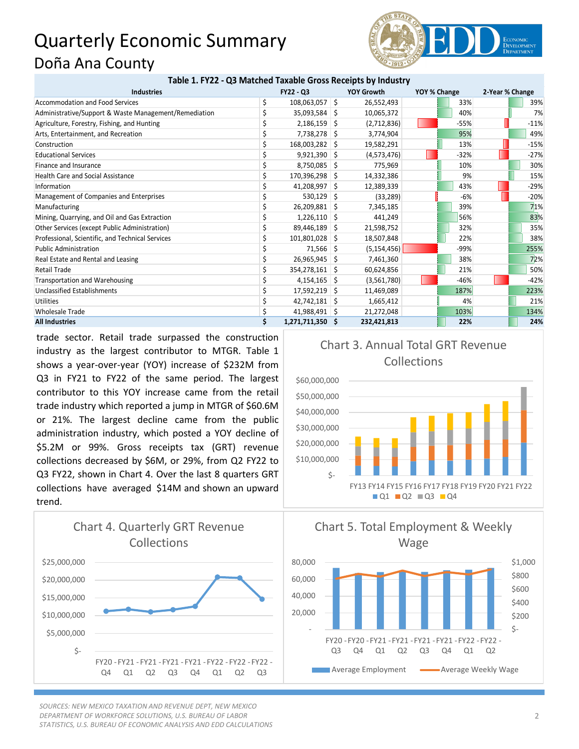## Quarterly Economic Summary Doña Ana County



## **Table 1. FY22 - Q3 Matched Taxable Gross Receipts by Industry**

| <b>Industries</b>                                     | <b>FY22 - Q3</b>       |  | <b>YOY Growth</b> | YOY % Change |        | 2-Year % Change |        |
|-------------------------------------------------------|------------------------|--|-------------------|--------------|--------|-----------------|--------|
| <b>Accommodation and Food Services</b>                | \$<br>$108,063,057$ \$ |  | 26,552,493        |              | 33%    |                 | 39%    |
| Administrative/Support & Waste Management/Remediation | $35,093,584$ \$        |  | 10,065,372        |              | 40%    |                 | 7%     |
| Agriculture, Forestry, Fishing, and Hunting           | $2,186,159$ \$         |  | (2,712,836)       |              | $-55%$ |                 | $-11%$ |
| Arts, Entertainment, and Recreation                   | 7,738,278 \$           |  | 3,774,904         |              | 95%    |                 | 49%    |
| Construction                                          | 168,003,282 \$         |  | 19,582,291        |              | 13%    |                 | $-15%$ |
| <b>Educational Services</b>                           | $9,921,390$ \$         |  | (4,573,476)       |              | $-32%$ |                 | $-27%$ |
| Finance and Insurance                                 | $8,750,085$ \$         |  | 775,969           |              | 10%    |                 | 30%    |
| <b>Health Care and Social Assistance</b>              | 170,396,298 \$         |  | 14,332,386        |              | 9%     |                 | 15%    |
| Information                                           | 41,208,997 \$          |  | 12,389,339        |              | 43%    |                 | $-29%$ |
| Management of Companies and Enterprises               | $530,129$ \$           |  | (33, 289)         |              | $-6%$  |                 | $-20%$ |
| Manufacturing                                         | 26,209,881 \$          |  | 7,345,185         |              | 39%    |                 | 71%    |
| Mining, Quarrying, and Oil and Gas Extraction         | $1,226,110$ \$         |  | 441,249           |              | 56%    |                 | 83%    |
| Other Services (except Public Administration)         | 89,446,189 \$          |  | 21,598,752        |              | 32%    |                 | 35%    |
| Professional, Scientific, and Technical Services      | 101,801,028 \$         |  | 18,507,848        |              | 22%    |                 | 38%    |
| <b>Public Administration</b>                          | $71,566$ \$            |  | (5, 154, 456)     |              | $-99%$ |                 | 255%   |
| Real Estate and Rental and Leasing                    | 26,965,945 \$          |  | 7,461,360         |              | 38%    |                 | 72%    |
| <b>Retail Trade</b>                                   | 354,278,161 \$         |  | 60,624,856        |              | 21%    |                 | 50%    |
| Transportation and Warehousing                        | $4,154,165$ \$         |  | (3,561,780)       |              | $-46%$ |                 | $-42%$ |
| Unclassified Establishments                           | $17,592,219$ \$        |  | 11,469,089        |              | 187%   |                 | 223%   |
| <b>Utilities</b>                                      | $42,742,181$ \$        |  | 1,665,412         |              | 4%     |                 | 21%    |
| <b>Wholesale Trade</b>                                | 41,988,491 \$          |  | 21,272,048        |              | 103%   |                 | 134%   |
| <b>All Industries</b>                                 | 1,271,711,350 \$       |  | 232,421,813       |              | 22%    |                 | 24%    |

trade sector. Retail trade surpassed the construction industry as the largest contributor to MTGR. Table 1 shows a year-over-year (YOY) increase of \$232M from Q3 in FY21 to FY22 of the same period. The largest contributor to this YOY increase came from the retail trade industry which reported a jump in MTGR of \$60.6M or 21%. The largest decline came from the public administration industry, which posted a YOY decline of \$5.2M or 99%. Gross receipts tax (GRT) revenue collections decreased by \$6M, or 29%, from Q2 FY22 to Q3 FY22, shown in Chart 4. Over the last 8 quarters GRT collections have averaged \$14M and shown an upward trend.



*SOURCES: NEW MEXICO TAXATION AND REVENUE DEPT, NEW MEXICO DEPARTMENT OF WORKFORCE SOLUTIONS, U.S. BUREAU OF LABOR STATISTICS, U.S. BUREAU OF ECONOMIC ANALYSIS AND EDD CALCULATIONS*